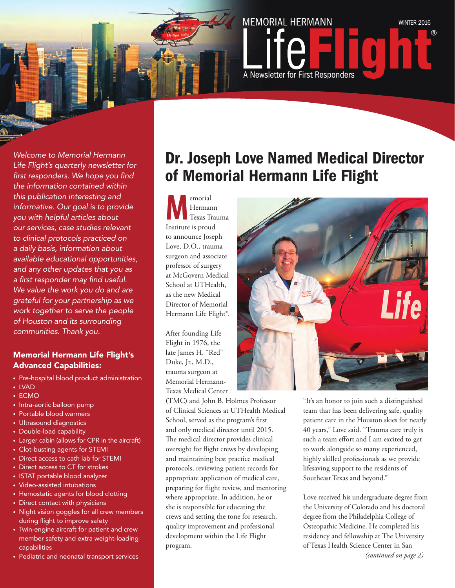

*Welcome to Memorial Hermann Life Flight's quarterly newsletter for first responders. We hope you find the information contained within this publication interesting and informative. Our goal is to provide you with helpful articles about our services, case studies relevant to clinical protocols practiced on a daily basis, information about available educational opportunities, and any other updates that you as a first responder may find useful. We value the work you do and are grateful for your partnership as we work together to serve the people of Houston and its surrounding communities. Thank you.* 

#### Memorial Hermann Life Flight's Advanced Capabilities:

- Pre-hospital blood product administration
- LVAD
- ECMO
- Intra-aortic balloon pump
- Portable blood warmers
- Ultrasound diagnostics
- Double-load capability
- Larger cabin (allows for CPR in the aircraft)
- Clot-busting agents for STEMI
- Direct access to cath lab for STEMI
- Direct access to CT for strokes
- ISTAT portable blood analyzer
- Video-assisted intubations
- Hemostatic agents for blood clotting
- Direct contact with physicians
- Night vision goggles for all crew members during flight to improve safety
- Twin-engine aircraft for patient and crew member safety and extra weight-loading capabilities
- Pediatric and neonatal transport services

### Dr. Joseph Love Named Medical Director of Memorial Hermann Life Flight

**M**emorial<br>
Texas Trauma<br>
Institute is proud Hermann Institute is proud to announce Joseph Love, D.O., trauma surgeon and associate professor of surgery at McGovern Medical School at UTHealth, as the new Medical Director of Memorial Hermann Life Flight®.

After founding Life Flight in 1976, the late James H. "Red" Duke, Jr., M.D., trauma surgeon at Memorial Hermann-Texas Medical Center

(TMC) and John B. Holmes Professor of Clinical Sciences at UTHealth Medical School, served as the program's first and only medical director until 2015. The medical director provides clinical oversight for flight crews by developing and maintaining best practice medical protocols, reviewing patient records for appropriate application of medical care, preparing for flight review, and mentoring where appropriate. In addition, he or she is responsible for educating the crews and setting the tone for research, quality improvement and professional development within the Life Flight program.



"It's an honor to join such a distinguished team that has been delivering safe, quality patient care in the Houston skies for nearly 40 years," Love said. "Trauma care truly is such a team effort and I am excited to get to work alongside so many experienced, highly skilled professionals as we provide lifesaving support to the residents of Southeast Texas and beyond."

Love received his undergraduate degree from the University of Colorado and his doctoral degree from the Philadelphia College of Osteopathic Medicine. He completed his residency and fellowship at The University of Texas Health Science Center in San *(continued on page 2)*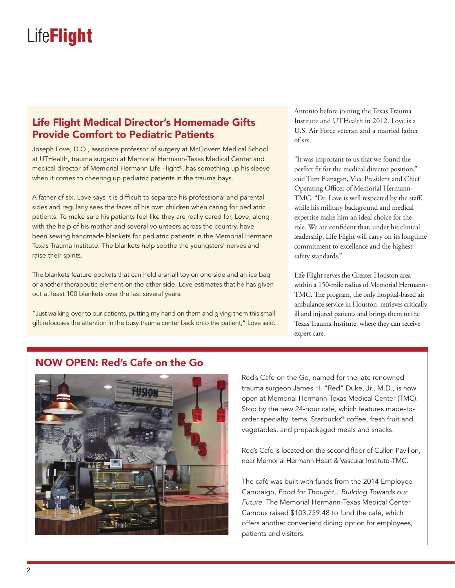#### Life Flight Medical Director's Homemade Gifts Provide Comfort to Pediatric Patients

Joseph Love, D.O., associate professor of surgery at McGovern Medical School at UTHealth, trauma surgeon at Memorial Hermann-Texas Medical Center and medical director of Memorial Hermann Life Flight®, has something up his sleeve when it comes to cheering up pediatric patients in the trauma bays.

A father of six, Love says it is difficult to separate his professional and parental sides and regularly sees the faces of his own children when caring for pediatric patients. To make sure his patients feel like they are really cared for, Love, along with the help of his mother and several volunteers across the country, have been sewing handmade blankets for pediatric patients in the Memorial Hermann Texas Trauma Institute. The blankets help soothe the youngsters' nerves and raise their spirits.

The blankets feature pockets that can hold a small toy on one side and an ice bag or another therapeutic element on the other side. Love estimates that he has given out at least 100 blankets over the last several years.

"Just walking over to our patients, putting my hand on them and giving them this small gift refocuses the attention in the busy trauma center back onto the patient," Love said. Antonio before joining the Texas Trauma Institute and UTHealth in 2012. Love is a U.S. Air Force veteran and a married father of six.

"It was important to us that we found the perfect fit for the medical director position," said Tom Flanagan, Vice President and Chief Operating Officer of Memorial Hermann-TMC. "Dr. Love is well respected by the staff, while his military background and medical expertise make him an ideal choice for the role. We are confident that, under his clinical leadership, Life Flight will carry on its longtime commitment to excellence and the highest safety standards."

Life Flight serves the Greater Houston area within a 150-mile radius of Memorial Hermann-TMC. The program, the only hospital-based air ambulance service in Houston, retrieves critically ill and injured patients and brings them to the Texas Trauma Institute, where they can receive expert care.

#### NOW OPEN: Red's Cafe on the Go



Red's Cafe on the Go, named for the late renowned trauma surgeon James H. "Red" Duke, Jr., M.D., is now open at Memorial Hermann-Texas Medical Center (TMC). Stop by the new 24-hour café, which features made-toorder specialty items, Starbucks® coffee, fresh fruit and vegetables, and prepackaged meals and snacks.

Red's Cafe is located on the second floor of Cullen Pavilion, near Memorial Hermann Heart & Vascular Institute-TMC.

The café was built with funds from the 2014 Employee Campaign, *Food for Thought…Building Towards our Future*. The Memorial Hermann-Texas Medical Center Campus raised \$103,759.48 to fund the café, which offers another convenient dining option for employees, patients and visitors.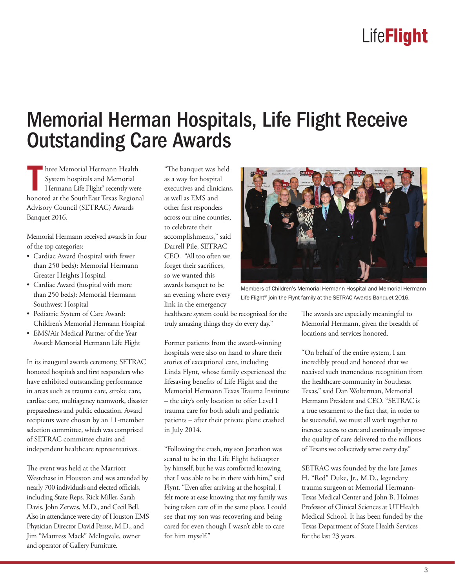### Memorial Herman Hospitals, Life Flight Receive Outstanding Care Awards

**T** hree Memorial Hermann Health System hospitals and Memorial Hermann Life Flight® recently were honored at the SouthEast Texas Regional Advisory Council (SETRAC) Awards Banquet 2016.

Memorial Hermann received awards in four of the top categories:

- Cardiac Award (hospital with fewer than 250 beds): Memorial Hermann Greater Heights Hospital
- Cardiac Award (hospital with more than 250 beds): Memorial Hermann Southwest Hospital
- Pediatric System of Care Award: Children's Memorial Hermann Hospital
- EMS/Air Medical Partner of the Year Award: Memorial Hermann Life Flight

In its inaugural awards ceremony, SETRAC honored hospitals and first responders who have exhibited outstanding performance in areas such as trauma care, stroke care, cardiac care, multiagency teamwork, disaster preparedness and public education. Award recipients were chosen by an 11-member selection committee, which was comprised of SETRAC committee chairs and independent healthcare representatives.

The event was held at the Marriott Westchase in Houston and was attended by nearly 700 individuals and elected officials, including State Reps. Rick Miller, Sarah Davis, John Zerwas, M.D., and Cecil Bell. Also in attendance were city of Houston EMS Physician Director David Persse, M.D., and Jim "Mattress Mack" McIngvale, owner and operator of Gallery Furniture.

"The banquet was held as a way for hospital executives and clinicians, as well as EMS and other first responders across our nine counties, to celebrate their accomplishments," said Darrell Pile, SETRAC CEO. "All too often we forget their sacrifices, so we wanted this awards banquet to be an evening where every link in the emergency

Members of Children's Memorial Hermann Hospital and Memorial Hermann

Life Flight® join the Flynt family at the SETRAC Awards Banquet 2016.

healthcare system could be recognized for the truly amazing things they do every day."

Former patients from the award-winning hospitals were also on hand to share their stories of exceptional care, including Linda Flynt, whose family experienced the lifesaving benefits of Life Flight and the Memorial Hermann Texas Trauma Institute – the city's only location to offer Level I trauma care for both adult and pediatric patients – after their private plane crashed in July 2014.

"Following the crash, my son Jonathon was scared to be in the Life Flight helicopter by himself, but he was comforted knowing that I was able to be in there with him," said Flynt. "Even after arriving at the hospital, I felt more at ease knowing that my family was being taken care of in the same place. I could see that my son was recovering and being cared for even though I wasn't able to care for him myself."

The awards are especially meaningful to Memorial Hermann, given the breadth of locations and services honored.

"On behalf of the entire system, I am incredibly proud and honored that we received such tremendous recognition from the healthcare community in Southeast Texas," said Dan Wolterman, Memorial Hermann President and CEO. "SETRAC is a true testament to the fact that, in order to be successful, we must all work together to increase access to care and continually improve the quality of care delivered to the millions of Texans we collectively serve every day."

SETRAC was founded by the late James H. "Red" Duke, Jr., M.D., legendary trauma surgeon at Memorial Hermann-Texas Medical Center and John B. Holmes Professor of Clinical Sciences at UTHealth Medical School. It has been funded by the Texas Department of State Health Services for the last 23 years.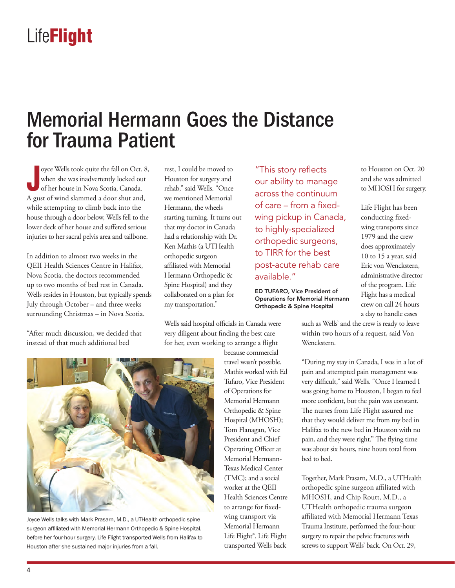### Memorial Hermann Goes the Distance for Trauma Patient

**J** oyce Wells took quite the fall on Oct. 8, when she was inadvertently locked out of her house in Nova Scotia, Canada. A gust of wind slammed a door shut and, while attempting to climb back into the house through a door below, Wells fell to the lower deck of her house and suffered serious injuries to her sacral pelvis area and tailbone.

In addition to almost two weeks in the QEII Health Sciences Centre in Halifax, Nova Scotia, the doctors recommended up to two months of bed rest in Canada. Wells resides in Houston, but typically spends July through October – and three weeks surrounding Christmas – in Nova Scotia.

"After much discussion, we decided that instead of that much additional bed

rest, I could be moved to Houston for surgery and rehab," said Wells. "Once we mentioned Memorial Hermann, the wheels starting turning. It turns out that my doctor in Canada had a relationship with Dr. Ken Mathis (a UTHealth orthopedic surgeon affiliated with Memorial Hermann Orthopedic & Spine Hospital) and they collaborated on a plan for my transportation."

Wells said hospital officials in Canada were very diligent about finding the best care for her, even working to arrange a flight

because commercial travel wasn't possible. Mathis worked with Ed Tufaro, Vice President of Operations for Memorial Hermann Orthopedic & Spine Hospital (MHOSH); Tom Flanagan, Vice President and Chief Operating Officer at Memorial Hermann-Texas Medical Center (TMC); and a social worker at the QEII Health Sciences Centre to arrange for fixedwing transport via Memorial Hermann Life Flight®. Life Flight transported Wells back

"This story reflects our ability to manage across the continuum of care – from a fixedwing pickup in Canada, to highly-specialized orthopedic surgeons, to TIRR for the best post-acute rehab care available."

ED TUFARO, Vice President of Operations for Memorial Hermann Orthopedic & Spine Hospital

to Houston on Oct. 20 and she was admitted to MHOSH for surgery.

Life Flight has been conducting fixedwing transports since 1979 and the crew does approximately 10 to 15 a year, said Eric von Wenckstern, administrative director of the program. Life Flight has a medical crew on call 24 hours a day to handle cases

such as Wells' and the crew is ready to leave within two hours of a request, said Von Wenckstern.

"During my stay in Canada, I was in a lot of pain and attempted pain management was very difficult," said Wells. "Once I learned I was going home to Houston, I began to feel more confident, but the pain was constant. The nurses from Life Flight assured me that they would deliver me from my bed in Halifax to the new bed in Houston with no pain, and they were right." The flying time was about six hours, nine hours total from bed to bed.

Together, Mark Prasarn, M.D., a UTHealth orthopedic spine surgeon affiliated with MHOSH, and Chip Routt, M.D., a UTHealth orthopedic trauma surgeon affiliated with Memorial Hermann Texas Trauma Institute, performed the four-hour surgery to repair the pelvic fractures with screws to support Wells' back. On Oct. 29,



Joyce Wells talks with Mark Prasarn, M.D., a UTHealth orthopedic spine surgeon affiliated with Memorial Hermann Orthopedic & Spine Hospital, before her four-hour surgery. Life Flight transported Wells from Halifax to Houston after she sustained major injuries from a fall.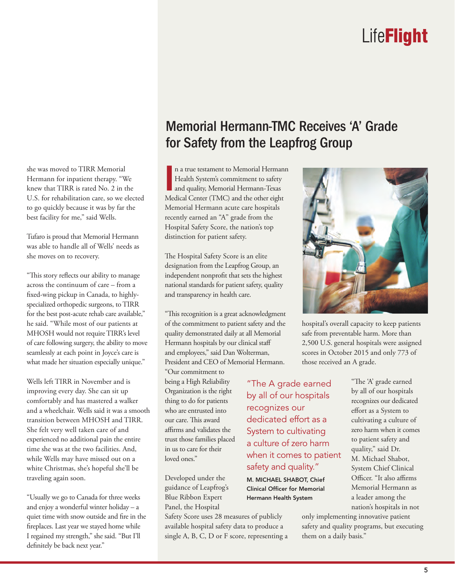she was moved to TIRR Memorial Hermann for inpatient therapy. "We knew that TIRR is rated No. 2 in the U.S. for rehabilitation care, so we elected to go quickly because it was by far the best facility for me," said Wells.

Tufaro is proud that Memorial Hermann was able to handle all of Wells' needs as she moves on to recovery.

"This story reflects our ability to manage across the continuum of care – from a fixed-wing pickup in Canada, to highlyspecialized orthopedic surgeons, to TIRR for the best post-acute rehab care available," he said. "While most of our patients at MHOSH would not require TIRR's level of care following surgery, the ability to move seamlessly at each point in Joyce's care is what made her situation especially unique."

Wells left TIRR in November and is improving every day. She can sit up comfortably and has mastered a walker and a wheelchair. Wells said it was a smooth transition between MHOSH and TIRR. She felt very well taken care of and experienced no additional pain the entire time she was at the two facilities. And, while Wells may have missed out on a white Christmas, she's hopeful she'll be traveling again soon.

"Usually we go to Canada for three weeks and enjoy a wonderful winter holiday – a quiet time with snow outside and fire in the fireplaces. Last year we stayed home while I regained my strength," she said. "But I'll definitely be back next year."

### Memorial Hermann-TMC Receives 'A' Grade for Safety from the Leapfrog Group

**I** n a true testament to Memorial Hermann Health System's commitment to safety and quality, Memorial Hermann-Texas Medical Center (TMC) and the other eight Memorial Hermann acute care hospitals recently earned an "A" grade from the Hospital Safety Score, the nation's top distinction for patient safety.

The Hospital Safety Score is an elite designation from the Leapfrog Group, an independent nonprofit that sets the highest national standards for patient safety, quality and transparency in health care.

"This recognition is a great acknowledgment of the commitment to patient safety and the quality demonstrated daily at all Memorial Hermann hospitals by our clinical staff and employees," said Dan Wolterman, President and CEO of Memorial Hermann.

"Our commitment to being a High Reliability Organization is the right thing to do for patients who are entrusted into our care. This award affirms and validates the trust those families placed in us to care for their loved ones."

Developed under the guidance of Leapfrog's Blue Ribbon Expert Panel, the Hospital

Safety Score uses 28 measures of publicly available hospital safety data to produce a single A, B, C, D or F score, representing a



hospital's overall capacity to keep patients safe from preventable harm. More than 2,500 U.S. general hospitals were assigned scores in October 2015 and only 773 of those received an A grade.

"The A grade earned by all of our hospitals recognizes our dedicated effort as a System to cultivating a culture of zero harm when it comes to patient safety and quality."

M. MICHAEL SHABOT, Chief Clinical Officer for Memorial Hermann Health System

"The 'A' grade earned by all of our hospitals recognizes our dedicated effort as a System to cultivating a culture of zero harm when it comes to patient safety and quality," said Dr. M. Michael Shabot, System Chief Clinical Officer. "It also affirms Memorial Hermann as a leader among the nation's hospitals in not

only implementing innovative patient safety and quality programs, but executing them on a daily basis."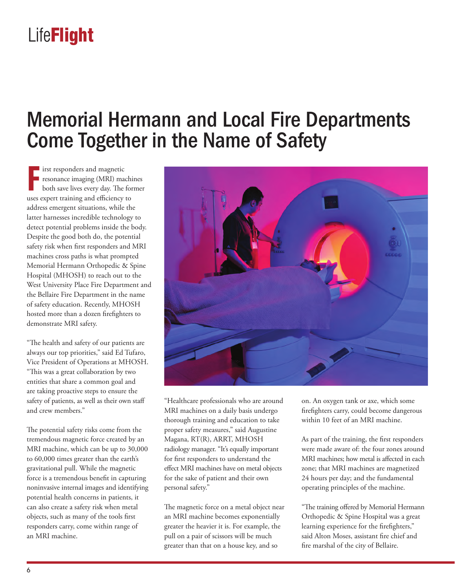### Memorial Hermann and Local Fire Departments Come Together in the Name of Safety

**FF** irst responders and magnetic resonance imaging (MRI) maching both save lives every day. The for uses expert training and efficiency to **i** irst responders and magnetic **resonance imaging (MRI) machines** both save lives every day. The former address emergent situations, while the latter harnesses incredible technology to detect potential problems inside the body. Despite the good both do, the potential safety risk when first responders and MRI machines cross paths is what prompted Memorial Hermann Orthopedic & Spine Hospital (MHOSH) to reach out to the West University Place Fire Department and the Bellaire Fire Department in the name of safety education. Recently, MHOSH hosted more than a dozen firefighters to demonstrate MRI safety.

"The health and safety of our patients are always our top priorities," said Ed Tufaro, Vice President of Operations at MHOSH. "This was a great collaboration by two entities that share a common goal and are taking proactive steps to ensure the safety of patients, as well as their own staff and crew members."

The potential safety risks come from the tremendous magnetic force created by an MRI machine, which can be up to 30,000 to 60,000 times greater than the earth's gravitational pull. While the magnetic force is a tremendous benefit in capturing noninvasive internal images and identifying potential health concerns in patients, it can also create a safety risk when metal objects, such as many of the tools first responders carry, come within range of an MRI machine.



"Healthcare professionals who are around MRI machines on a daily basis undergo thorough training and education to take proper safety measures," said Augustine Magana, RT(R), ARRT, MHOSH radiology manager. "It's equally important for first responders to understand the effect MRI machines have on metal objects for the sake of patient and their own personal safety."

The magnetic force on a metal object near an MRI machine becomes exponentially greater the heavier it is. For example, the pull on a pair of scissors will be much greater than that on a house key, and so

on. An oxygen tank or axe, which some firefighters carry, could become dangerous within 10 feet of an MRI machine.

As part of the training, the first responders were made aware of: the four zones around MRI machines; how metal is affected in each zone; that MRI machines are magnetized 24 hours per day; and the fundamental operating principles of the machine.

"The training offered by Memorial Hermann Orthopedic & Spine Hospital was a great learning experience for the firefighters," said Alton Moses, assistant fire chief and fire marshal of the city of Bellaire.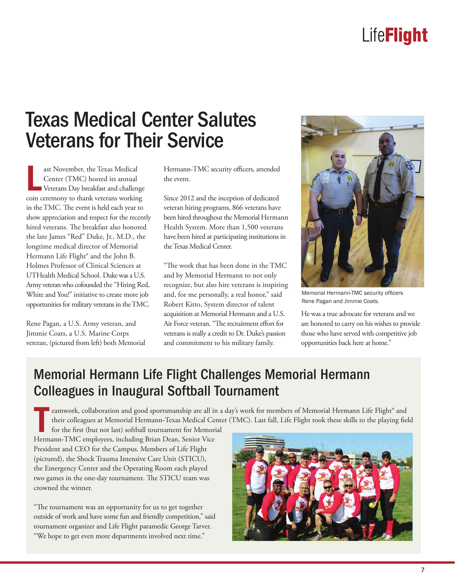### Texas Medical Center Salutes **Veterans for Their Service**

**L** ast November, the Texas Medical Center (TMC) hosted its annual Veterans Day breakfast and challenge coin ceremony to thank veterans working in the TMC. The event is held each year to show appreciation and respect for the recently hired veterans. The breakfast also honored the late James "Red" Duke, Jr., M.D., the longtime medical director of Memorial Hermann Life Flight® and the John B. Holmes Professor of Clinical Sciences at UTHealth Medical School. Duke was a U.S. Army veteran who cofounded the "Hiring Red, White and You!" initiative to create more job opportunities for military veterans in the TMC.

Rene Pagan, a U.S. Army veteran, and Jimmie Coats, a U.S. Marine Corps veteran, (pictured from left) both Memorial Hermann-TMC security officers, attended the event.

Since 2012 and the inception of dedicated veteran hiring programs, 866 veterans have been hired throughout the Memorial Hermann Health System. More than 1,500 veterans have been hired at participating institutions in the Texas Medical Center.

"The work that has been done in the TMC and by Memorial Hermann to not only recognize, but also hire veterans is inspiring and, for me personally, a real honor," said Robert Kitto, System director of talent acquisition at Memorial Hermann and a U.S. Air Force veteran. "The recruitment effort for veterans is really a credit to Dr. Duke's passion and commitment to his military family.



Memorial Hermann-TMC security officers Rene Pagan and Jimmie Coats.

He was a true advocate for veterans and we are honored to carry on his wishes to provide those who have served with competitive job opportunities back here at home."

### Memorial Hermann Life Flight Challenges Memorial Hermann Colleagues in Inaugural Softball Tournament

**T** eamwork, collaboration and good sportsmanship are all in a day's work for members of Memorial Hermann Life Flight® and their colleagues at Memorial Hermann-Texas Medical Center (TMC). Last fall, Life Flight took these skills to the playing field

for the first (but not last) softball tournament for Memorial Hermann-TMC employees, including Brian Dean, Senior Vice President and CEO for the Campus. Members of Life Flight (pictured), the Shock Trauma Intensive Care Unit (STICU), the Emergency Center and the Operating Room each played two games in the one-day tournament. The STICU team was crowned the winner.

"The tournament was an opportunity for us to get together outside of work and have some fun and friendly competition," said tournament organizer and Life Flight paramedic George Tarver. "We hope to get even more departments involved next time."